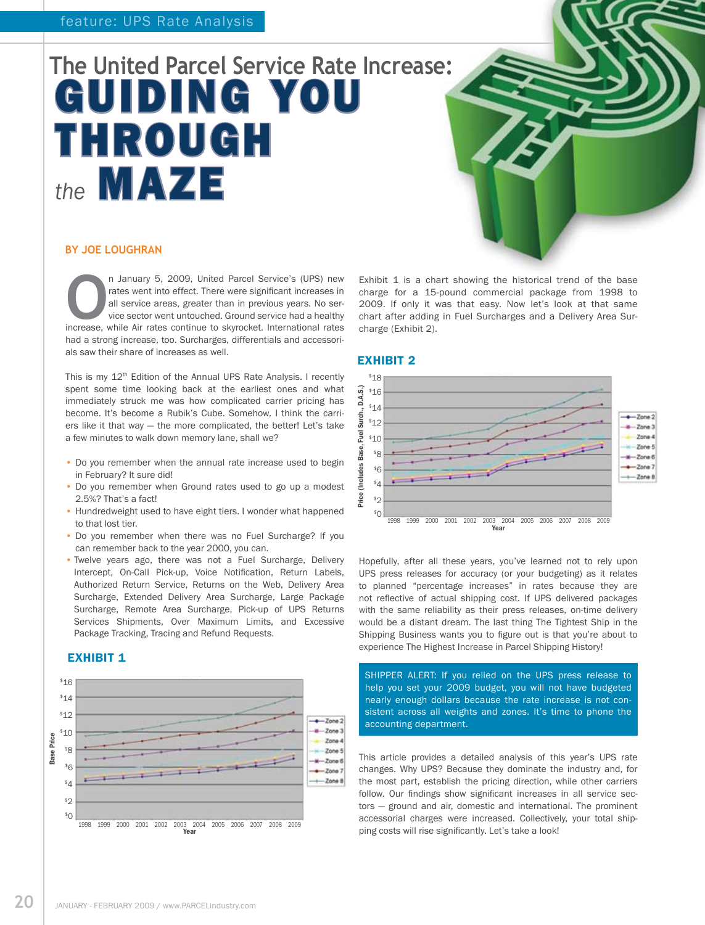# **The United Parcel Service Rate Increase:** Guiding you through the **MAZE**

#### **By Joe Loughran**

**O**n January 5, 2009, United Parcel Service's (UPS) new rates went into effect. There were significant increases in all service areas, greater than in previous years. No service sector went untouched. Ground service had a rates went into effect. There were significant increases in all service areas, greater than in previous years. No service sector went untouched. Ground service had a healthy had a strong increase, too. Surcharges, differentials and accessorials saw their share of increases as well.

This is my 12th Edition of the Annual UPS Rate Analysis. I recently spent some time looking back at the earliest ones and what immediately struck me was how complicated carrier pricing has become. It's become a Rubik's Cube. Somehow, I think the carriers like it that way — the more complicated, the better! Let's take a few minutes to walk down memory lane, shall we?

- Do you remember when the annual rate increase used to begin in February? It sure did!
- Do you remember when Ground rates used to go up a modest 2.5%? That's a fact!
- Hundredweight used to have eight tiers. I wonder what happened to that lost tier.
- Do you remember when there was no Fuel Surcharge? If you can remember back to the year 2000, you can.
- Twelve years ago, there was not a Fuel Surcharge, Delivery Intercept, On-Call Pick-up, Voice Notification, Return Labels, Authorized Return Service, Returns on the Web, Delivery Area Surcharge, Extended Delivery Area Surcharge, Large Package Surcharge, Remote Area Surcharge, Pick-up of UPS Returns Services Shipments, Over Maximum Limits, and Excessive Package Tracking, Tracing and Refund Requests.

#### **EXHIBIT 1**



#### EXHIBIT 2

charge (Exhibit 2).



Exhibit 1 is a chart showing the historical trend of the base charge for a 15-pound commercial package from 1998 to 2009. If only it was that easy. Now let's look at that same chart after adding in Fuel Surcharges and a Delivery Area Sur-

Hopefully, after all these years, you've learned not to rely upon UPS press releases for accuracy (or your budgeting) as it relates to planned "percentage increases" in rates because they are not reflective of actual shipping cost. If UPS delivered packages with the same reliability as their press releases, on-time delivery would be a distant dream. The last thing The Tightest Ship in the Shipping Business wants you to figure out is that you're about to experience The Highest Increase in Parcel Shipping History!

SHIPPER ALERT: If you relied on the UPS press release to help you set your 2009 budget, you will not have budgeted nearly enough dollars because the rate increase is not consistent across all weights and zones. It's time to phone the accounting department.

This article provides a detailed analysis of this year's UPS rate changes. Why UPS? Because they dominate the industry and, for the most part, establish the pricing direction, while other carriers follow. Our findings show significant increases in all service sectors — ground and air, domestic and international. The prominent accessorial charges were increased. Collectively, your total shipping costs will rise significantly. Let's take a look!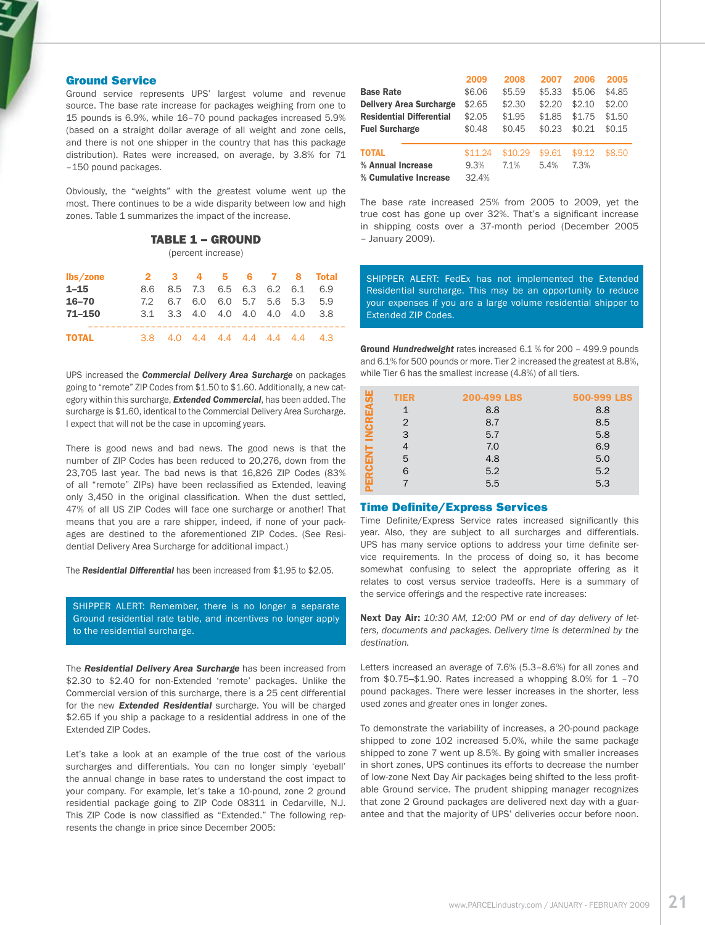#### Ground Service

Ground service represents UPS' largest volume and revenue source. The base rate increase for packages weighing from one to 15 pounds is 6.9%, while 16–70 pound packages increased 5.9% (based on a straight dollar average of all weight and zone cells, and there is not one shipper in the country that has this package distribution). Rates were increased, on average, by 3.8% for 71 –150 pound packages.

Obviously, the "weights" with the greatest volume went up the most. There continues to be a wide disparity between low and high zones. Table 1 summarizes the impact of the increase.

#### Table 1 – Ground

(percent increase)

| lbs/zone     |     |                             |         |                      |                 | 2 3 4 5 6 7 8 Total |
|--------------|-----|-----------------------------|---------|----------------------|-----------------|---------------------|
| $1 - 15$     |     | 8.6 8.5 7.3 6.5 6.3 6.2 6.1 |         |                      |                 | 6.9                 |
| $16 - 70$    | 7.2 |                             | 6.7 6.0 |                      | 6.0 5.7 5.6 5.3 | 5.9                 |
| $71 - 150$   |     | 3.1 3.3 4.0 4.0 4.0 4.0 4.0 |         |                      |                 | - 3.8               |
| <b>TOTAL</b> | 38  |                             |         | 40 44 44 44 44 44 43 |                 |                     |

UPS increased the *Commercial Delivery Area Surcharge* on packages going to "remote" ZIP Codes from \$1.50 to \$1.60. Additionally, a new category within this surcharge, *Extended Commercial*, has been added. The surcharge is \$1.60, identical to the Commercial Delivery Area Surcharge. I expect that will not be the case in upcoming years.

There is good news and bad news. The good news is that the number of ZIP Codes has been reduced to 20,276, down from the 23,705 last year. The bad news is that 16,826 ZIP Codes (83% of all "remote" ZIPs) have been reclassified as Extended, leaving only 3,450 in the original classification. When the dust settled, 47% of all US ZIP Codes will face one surcharge or another! That means that you are a rare shipper, indeed, if none of your packages are destined to the aforementioned ZIP Codes. (See Residential Delivery Area Surcharge for additional impact.)

The *Residential Differential* has been increased from \$1.95 to \$2.05.

SHIPPER ALERT: Remember, there is no longer a separate Ground residential rate table, and incentives no longer apply to the residential surcharge.

The *Residential Delivery Area Surcharge* has been increased from \$2.30 to \$2.40 for non-Extended 'remote' packages. Unlike the Commercial version of this surcharge, there is a 25 cent differential for the new *Extended Residential* surcharge. You will be charged \$2.65 if you ship a package to a residential address in one of the Extended ZIP Codes.

Let's take a look at an example of the true cost of the various surcharges and differentials. You can no longer simply 'eyeball' the annual change in base rates to understand the cost impact to your company. For example, let's take a 10-pound, zone 2 ground residential package going to ZIP Code 08311 in Cedarville, N.J. This ZIP Code is now classified as "Extended." The following represents the change in price since December 2005:

|                                 | 2009    | 2008    | 2007   | 2006   | 2005   |
|---------------------------------|---------|---------|--------|--------|--------|
| <b>Base Rate</b>                | \$6.06  | \$5.59  | \$5.33 | \$5.06 | \$4.85 |
| <b>Delivery Area Surcharge</b>  | \$2.65  | \$2.30  | \$2.20 | \$2.10 | \$2.00 |
| <b>Residential Differential</b> | \$2.05  | \$1.95  | \$1.85 | \$1.75 | \$1.50 |
| <b>Fuel Surcharge</b>           | \$0.48  | \$0.45  | \$0.23 | \$0.21 | \$0.15 |
| <b>TOTAL</b>                    | \$11.24 | \$10.29 | \$9.61 | \$9.12 | \$8.50 |
| % Annual Increase               | 9.3%    | 7.1%    | 5.4%   | 7.3%   |        |
| % Cumulative Increase           | 32.4%   |         |        |        |        |

The base rate increased 25% from 2005 to 2009, yet the true cost has gone up over 32%. That's a significant increase in shipping costs over a 37-month period (December 2005 – January 2009).

SHIPPER ALERT: FedEx has not implemented the Extended Residential surcharge. This may be an opportunity to reduce your expenses if you are a large volume residential shipper to Extended ZIP Codes.

Ground *Hundredweight* rates increased 6.1 % for 200 – 499.9 pounds and 6.1% for 500 pounds or more. Tier 2 increased the greatest at 8.8%, while Tier 6 has the smallest increase (4.8%) of all tiers.

|   | <b>TIER</b>    | 200-499 LBS | 500-999 LBS |
|---|----------------|-------------|-------------|
|   |                | 8.8         | 8.8         |
| ت | $\overline{2}$ | 8.7         | 8.5         |
| ž | 3              | 5.7         | 5.8         |
|   |                | 7.0         | 6.9         |
| z | 5              | 4.8         | 5.0         |
|   | 6              | 5.2         | 5.2         |
|   |                | 5.5         | 5.3         |
|   |                |             |             |

#### Time Definite/Express Services

Time Definite/Express Service rates increased significantly this year. Also, they are subject to all surcharges and differentials. UPS has many service options to address your time definite service requirements. In the process of doing so, it has become somewhat confusing to select the appropriate offering as it relates to cost versus service tradeoffs. Here is a summary of the service offerings and the respective rate increases:

Next Day Air: *10:30 AM, 12:00 PM or end of day delivery of letters, documents and packages. Delivery time is determined by the destination.*

Letters increased an average of 7.6% (5.3–8.6%) for all zones and from  $$0.75$ – $$1.90$ . Rates increased a whopping 8.0% for  $1 - 70$ pound packages. There were lesser increases in the shorter, less used zones and greater ones in longer zones.

To demonstrate the variability of increases, a 20-pound package shipped to zone 102 increased 5.0%, while the same package shipped to zone 7 went up 8.5%. By going with smaller increases in short zones, UPS continues its efforts to decrease the number of low-zone Next Day Air packages being shifted to the less profitable Ground service. The prudent shipping manager recognizes that zone 2 Ground packages are delivered next day with a guarantee and that the majority of UPS' deliveries occur before noon.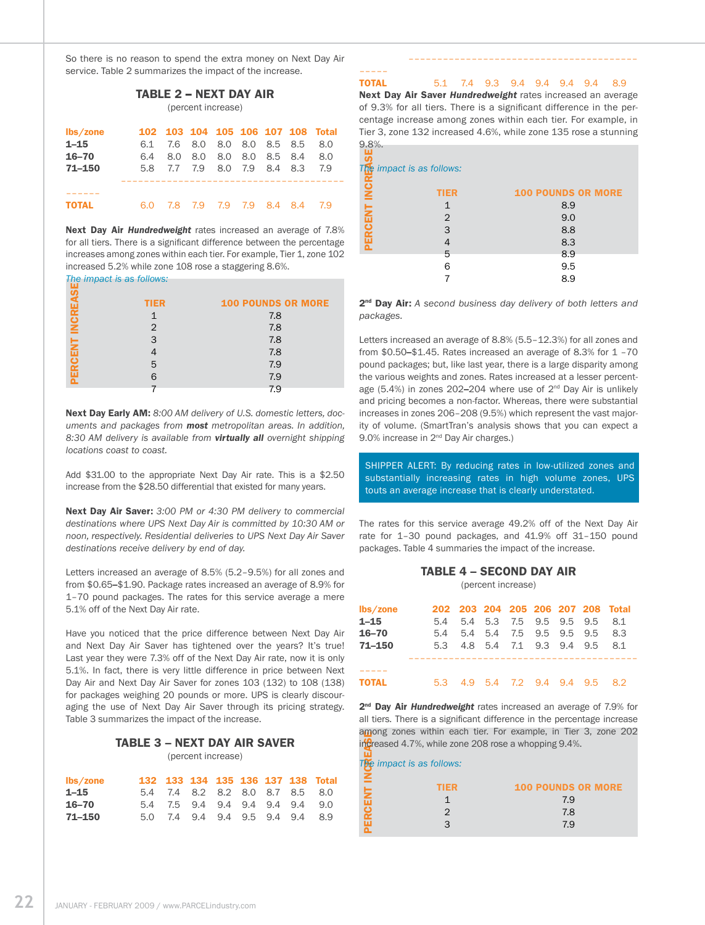So there is no reason to spend the extra money on Next Day Air service. Table 2 summarizes the impact of the increase.

 $T = T - T$ 

| IABLE 2 – NEXT DAY AIR<br>(percent increase) |     |     |     |     |            |     |     |                                   |  |
|----------------------------------------------|-----|-----|-----|-----|------------|-----|-----|-----------------------------------|--|
| lbs/zone                                     |     |     |     |     |            |     |     | 102 103 104 105 106 107 108 Total |  |
| $1 - 15$                                     | 6.1 | 7.6 | 8.0 | 8.0 | 8.0        | 8.5 | 8.5 | 8.0                               |  |
| $16 - 70$                                    | 6.4 | 8.0 | 8.0 | 8.0 | 8.0        | 8.5 | 8.4 | 8.0                               |  |
| $71 - 150$                                   | 5.8 | 7.7 | 7.9 | 8.0 | 7.9        | 8.4 | 8.3 | 7.9                               |  |
|                                              |     |     |     |     |            |     |     |                                   |  |
|                                              |     |     |     |     |            |     |     |                                   |  |
| ΤΩΤΑΙ                                        | 6.0 | 7.8 | 79  | 7.9 | <b>7.9</b> | 8.4 | 8.4 | 79                                |  |

Next Day Air *Hundredweight* rates increased an average of 7.8% for all tiers. There is a significant difference between the percentage increases among zones within each tier. For example, Tier 1, zone 102 increased 5.2% while zone 108 rose a staggering 8.6%.

*The impact is as follows:*

| . .          |             |                           |
|--------------|-------------|---------------------------|
|              | <b>TIER</b> | <b>100 POUNDS OR MORE</b> |
| <b>INCRE</b> |             | 7.8                       |
|              | 2           | 7.8                       |
|              | 3           | 7.8                       |
| ERCEN        |             | 7.8                       |
|              | 5           | 7.9                       |
|              |             | 7.9                       |
|              |             | 7.9                       |

Next Day Early AM: *8:00 AM delivery of U.S. domestic letters, documents and packages from most metropolitan areas. In addition, 8:30 AM delivery is available from virtually all overnight shipping locations coast to coast.* 

Add \$31.00 to the appropriate Next Day Air rate. This is a \$2.50 increase from the \$28.50 differential that existed for many years.

Next Day Air Saver: *3:00 PM or 4:30 PM delivery to commercial destinations where UPS Next Day Air is committed by 10:30 AM or noon, respectively. Residential deliveries to UPS Next Day Air Saver destinations receive delivery by end of day.* 

Letters increased an average of 8.5% (5.2–9.5%) for all zones and from \$0.65–\$1.90. Package rates increased an average of 8.9% for 1–70 pound packages. The rates for this service average a mere 5.1% off of the Next Day Air rate.

Have you noticed that the price difference between Next Day Air and Next Day Air Saver has tightened over the years? It's true! Last year they were 7.3% off of the Next Day Air rate, now it is only 5.1%. In fact, there is very little difference in price between Next Day Air and Next Day Air Saver for zones 103 (132) to 108 (138) for packages weighing 20 pounds or more. UPS is clearly discouraging the use of Next Day Air Saver through its pricing strategy. Table 3 summarizes the impact of the increase.

#### Table 3 – Next Day Air Saver

(percent increase)

| $\mathsf{lbs}/\mathsf{zone}$ |  |  |  | 132 133 134 135 136 137 138 Total |
|------------------------------|--|--|--|-----------------------------------|
| $1 - 15$                     |  |  |  | 5.4 7.4 8.2 8.2 8.0 8.7 8.5 8.0   |
| $16 - 70$                    |  |  |  | 5.4 7.5 9.4 9.4 9.4 9.4 9.4 9.0   |
| 71–150                       |  |  |  | 5.0 7.4 9.4 9.4 9.5 9.4 9.4 8.9   |

–––––

––––––––––––––––––––––––––––––––––––––––

TOTAL 5.1 7.4 9.3 9.4 9.4 9.4 9.4 8.9

Next Day Air Saver *Hundredweight* rates increased an average of 9.3% for all tiers. There is a significant difference in the percentage increase among zones within each tier. For example, in Tier 3, zone 132 increased 4.6%, while zone 135 rose a stunning 9.8%.

| $T_{\rm R}$ impact is as follows: |                           |
|-----------------------------------|---------------------------|
| <b>TIER</b>                       | <b>100 POUNDS OR MORE</b> |
|                                   | 8.9                       |
| $\overline{2}$                    | 9.0                       |
| 3                                 | 8.8                       |
|                                   | 8.3                       |
| 5                                 | 8.9                       |
| 6                                 | 9.5                       |
|                                   | 8.9                       |
|                                   |                           |

2nd Day Air: *A second business day delivery of both letters and packages.*

Letters increased an average of 8.8% (5.5–12.3%) for all zones and from \$0.50–\$1.45. Rates increased an average of 8.3% for 1 –70 pound packages; but, like last year, there is a large disparity among the various weights and zones. Rates increased at a lesser percentage (5.4%) in zones 202–204 where use of  $2^{nd}$  Day Air is unlikely and pricing becomes a non-factor. Whereas, there were substantial increases in zones 206–208 (9.5%) which represent the vast majority of volume. (SmartTran's analysis shows that you can expect a 9.0% increase in 2<sup>nd</sup> Day Air charges.)

SHIPPER ALERT: By reducing rates in low-utilized zones and substantially increasing rates in high volume zones, UPS touts an average increase that is clearly understated.

The rates for this service average 49.2% off of the Next Day Air rate for 1–30 pound packages, and 41.9% off 31–150 pound packages. Table 4 summaries the impact of the increase.

## Table 4 – Second Day Air

(percent increase)

| lbs/zone     |     |                             |  |  | 202 203 204 205 206 207 208 Total |
|--------------|-----|-----------------------------|--|--|-----------------------------------|
| $1 - 15$     | 5.4 | 5.4 5.3 7.5 9.5 9.5 9.5     |  |  | 8.1                               |
| $16 - 70$    | 5.4 | 5.4 5.4 7.5 9.5 9.5 9.5     |  |  | 8.3                               |
| $71 - 150$   |     | 5.3 4.8 5.4 7.1 9.3 9.4 9.5 |  |  | 8.1                               |
|              |     |                             |  |  |                                   |
| <b>TOTAL</b> |     | 53 49 54 72 94 94 95 82     |  |  |                                   |

2<sup>nd</sup> Day Air *Hundredweight* rates increased an average of 7.9% for all tiers. There is a significant difference in the percentage increase among zones within each tier. For example, in Tier 3, zone 202 increased 4.7%, while zone 208 rose a whopping 9.4%.

|               |                                                      | dijiviig zviies williili eduli liel. Fui exdiliple, ili liel 3, zviie 20 |
|---------------|------------------------------------------------------|--------------------------------------------------------------------------|
|               | increased 4.7%, while zone 208 rose a whopping 9.4%. |                                                                          |
|               |                                                      |                                                                          |
|               | The impact is as follows:                            |                                                                          |
| . ≧           |                                                      |                                                                          |
|               | <b>TIER</b>                                          | <b>100 POUNDS OR MORE</b>                                                |
| <b>ERCENT</b> |                                                      | 7.9                                                                      |
|               | 2                                                    | 7.8                                                                      |
|               |                                                      | 7.9                                                                      |
|               |                                                      |                                                                          |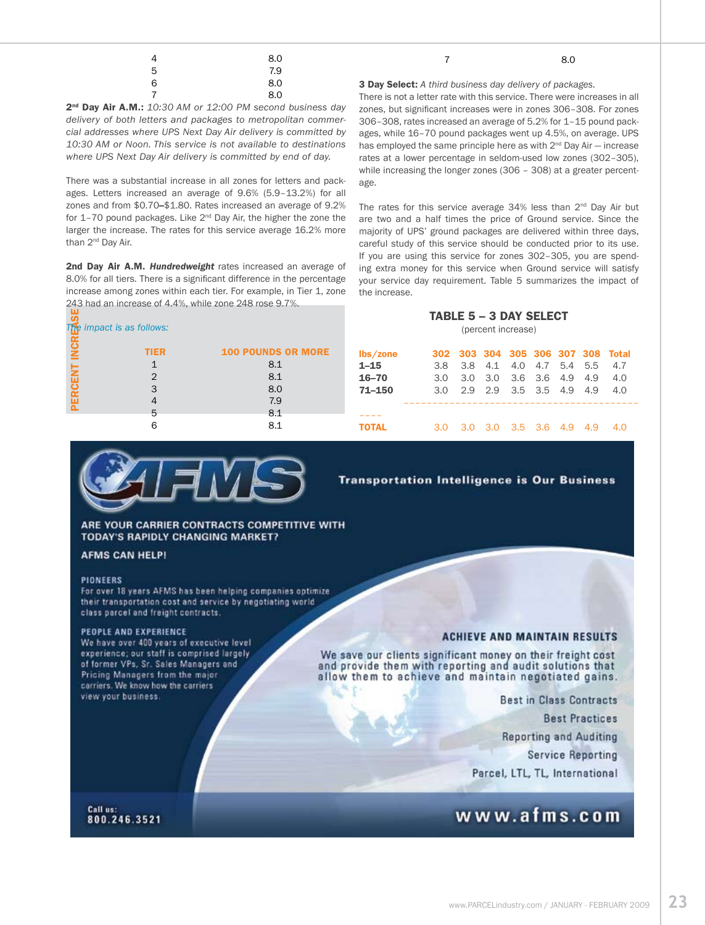| 8.0 |                                                                   | 8.0 |
|-----|-------------------------------------------------------------------|-----|
|     |                                                                   |     |
| 8.0 | <b>3 Day Select:</b> A third business day delivery of packages.   |     |
|     | There is not a letter rate with this service. There were increase |     |

2nd Day Air A.M.: *10:30 AM or 12:00 PM second business day delivery of both letters and packages to metropolitan commercial addresses where UPS Next Day Air delivery is committed by 10:30 AM or Noon. This service is not available to destinations where UPS Next Day Air delivery is committed by end of day.*

There was a substantial increase in all zones for letters and packages. Letters increased an average of 9.6% (5.9–13.2%) for all zones and from \$0.70–\$1.80. Rates increased an average of 9.2% for  $1-70$  pound packages. Like  $2^{nd}$  Day Air, the higher the zone the larger the increase. The rates for this service average 16.2% more than 2<sup>nd</sup> Day Air.

2nd Day Air A.M. Hundredweight rates increased an average of 8.0% for all tiers. There is a significant difference in the percentage increase among zones within each tier. For example, in Tier 1, zone 243 had an increase of 4.4%, while zone 248 rose 9.7%.

|             | The impact is as follows: |                           |
|-------------|---------------------------|---------------------------|
| <b>INCR</b> | <b>TIER</b>               | <b>100 POUNDS OR MORE</b> |
|             |                           | 8.1                       |
|             | 2                         | 8.1                       |
| ERCENT      | 3                         | 8.0                       |
|             |                           | 7.9                       |
|             | 5                         | 8.1                       |
|             |                           | 8.1                       |

There is not a letter rate with this service. There were increases in all zones, but significant increases were in zones 306–308. For zones 306–308, rates increased an average of 5.2% for 1–15 pound packages, while 16–70 pound packages went up 4.5%, on average. UPS has employed the same principle here as with  $2<sup>nd</sup>$  Day Air – increase rates at a lower percentage in seldom-used low zones (302–305), while increasing the longer zones (306 – 308) at a greater percentage.

The rates for this service average 34% less than 2<sup>nd</sup> Day Air but are two and a half times the price of Ground service. Since the majority of UPS' ground packages are delivered within three days, careful study of this service should be conducted prior to its use. If you are using this service for zones 302–305, you are spending extra money for this service when Ground service will satisfy your service day requirement. Table 5 summarizes the impact of the increase.

### Table 5 – 3 Day Select

(percent increase)

| lbs/zone     |  |                             |  |  | 302 303 304 305 306 307 308 Total |
|--------------|--|-----------------------------|--|--|-----------------------------------|
| $1 - 15$     |  | 3.8 3.8 4.1 4.0 4.7 5.4 5.5 |  |  | 47                                |
| $16 - 70$    |  | 3.0 3.0 3.0 3.6 3.6 4.9 4.9 |  |  | 4.0                               |
| $71 - 150$   |  | 3.0 2.9 2.9 3.5 3.5 4.9 4.9 |  |  | 4.0                               |
|              |  |                             |  |  |                                   |
| <b>TOTAL</b> |  | 3.0 3.0 3.0 3.5 3.6 4.9 4.9 |  |  | 4 O                               |



ARE YOUR CARRIER CONTRACTS COMPETITIVE WITH **TODAY'S RAPIDLY CHANGING MARKET?** 

#### **AFMS CAN HELP!**

#### **PIONEERS**

For over 18 years AFMS has been helping companies optimize their transportation cost and service by negotiating world class parcel and freight contracts.

#### PEOPLE AND EXPERIENCE

We have over 400 years of executive level experience; our staff is comprised largely of former VPs, Sr. Sales Managers and Pricing Managers from the major carriers. We know how the carriers view your business.

**Transportation Intelligence is Our Business** 

#### **ACHIEVE AND MAINTAIN RESULTS**

We save our clients significant money on their freight cost and provide them with reporting and audit solutions that allow them to achieve and maintain negotiated gains.

**Best in Class Contracts** 

**Best Practices** 

**Reporting and Auditing** 

**Service Reporting** 

Parcel, LTL, TL, International

# www.afms.com

Call us: 800.246.3521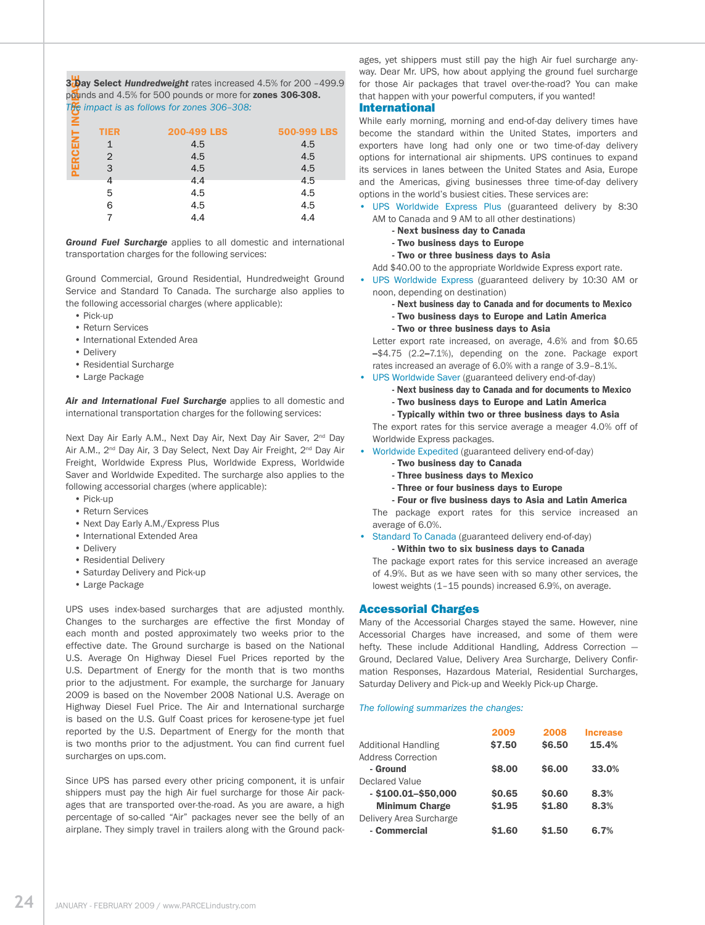**th Reases** 3bay Select *Hundredweight* rates increased 4.5% for 200 -499.9 pounds and 4.5% for 500 pounds or more for zones 306-308. *The impact is as follows for zones 306–308:* 

| ⋸    |             |             |             |
|------|-------------|-------------|-------------|
|      | <b>TIER</b> | 200-499 LBS | 500-999 LBS |
| 젊    |             | 4.5         | 4.5         |
| ERCI | 2           | 4.5         | 4.5         |
|      | 3           | 4.5         | 4.5         |
|      | 4           | 4.4         | 4.5         |
|      | 5           | 4.5         | 4.5         |
|      | 6           | 4.5         | 4.5         |
|      |             | 4.4         | 4.4         |
|      |             |             |             |

*Ground Fuel Surcharge* applies to all domestic and international transportation charges for the following services:

Ground Commercial, Ground Residential, Hundredweight Ground Service and Standard To Canada. The surcharge also applies to the following accessorial charges (where applicable):

- Pick-up
- Return Services
- International Extended Area
- Delivery
- Residential Surcharge
- Large Package

*Air and International Fuel Surcharge* applies to all domestic and international transportation charges for the following services:

Next Day Air Early A.M., Next Day Air, Next Day Air Saver, 2<sup>nd</sup> Day Air A.M., 2<sup>nd</sup> Day Air, 3 Day Select, Next Day Air Freight, 2<sup>nd</sup> Day Air Freight, Worldwide Express Plus, Worldwide Express, Worldwide Saver and Worldwide Expedited. The surcharge also applies to the following accessorial charges (where applicable):

- Pick-up
- Return Services
- Next Day Early A.M./Express Plus
- International Extended Area
- Delivery
- Residential Delivery
- Saturday Delivery and Pick-up
- Large Package

UPS uses index-based surcharges that are adjusted monthly. Changes to the surcharges are effective the first Monday of each month and posted approximately two weeks prior to the effective date. The Ground surcharge is based on the National U.S. Average On Highway Diesel Fuel Prices reported by the U.S. Department of Energy for the month that is two months prior to the adjustment. For example, the surcharge for January 2009 is based on the November 2008 National U.S. Average on Highway Diesel Fuel Price. The Air and International surcharge is based on the U.S. Gulf Coast prices for kerosene-type jet fuel reported by the U.S. Department of Energy for the month that is two months prior to the adjustment. You can find current fuel surcharges on ups.com.

Since UPS has parsed every other pricing component, it is unfair shippers must pay the high Air fuel surcharge for those Air packages that are transported over-the-road. As you are aware, a high percentage of so-called "Air" packages never see the belly of an airplane. They simply travel in trailers along with the Ground packages, yet shippers must still pay the high Air fuel surcharge anyway. Dear Mr. UPS, how about applying the ground fuel surcharge for those Air packages that travel over-the-road? You can make that happen with your powerful computers, if you wanted!

#### International

While early morning, morning and end-of-day delivery times have become the standard within the United States, importers and exporters have long had only one or two time-of-day delivery options for international air shipments. UPS continues to expand its services in lanes between the United States and Asia, Europe and the Americas, giving businesses three time-of-day delivery options in the world's busiest cities. These services are:

- UPS Worldwide Express Plus (guaranteed delivery by 8:30 AM to Canada and 9 AM to all other destinations)
	- Next business day to Canada
	- Two business days to Europe
	- Two or three business days to Asia

Add \$40.00 to the appropriate Worldwide Express export rate.

- UPS Worldwide Express (guaranteed delivery by 10:30 AM or noon, depending on destination)
	- Next business day to Canada and for documents to Mexico
	- Two business days to Europe and Latin America
	- Two or three business days to Asia

Letter export rate increased, on average, 4.6% and from \$0.65 –\$4.75 (2.2–7.1%), depending on the zone. Package export rates increased an average of 6.0% with a range of 3.9–8.1%.

- UPS Worldwide Saver (guaranteed delivery end-of-day)
	- Next business day to Canada and for documents to Mexico
	- Two business days to Europe and Latin America
	- Typically within two or three business days to Asia

The export rates for this service average a meager 4.0% off of Worldwide Express packages.

- Worldwide Expedited (guaranteed delivery end-of-day)
	- Two business day to Canada
	- Three business days to Mexico
	- Three or four business days to Europe
	- Four or five business days to Asia and Latin America

The package export rates for this service increased an average of 6.0%.

• Standard To Canada (guaranteed delivery end-of-day) - Within two to six business days to Canada

The package export rates for this service increased an average of 4.9%. But as we have seen with so many other services, the lowest weights (1–15 pounds) increased 6.9%, on average.

#### Accessorial Charges

Many of the Accessorial Charges stayed the same. However, nine Accessorial Charges have increased, and some of them were hefty. These include Additional Handling, Address Correction — Ground, Declared Value, Delivery Area Surcharge, Delivery Confirmation Responses, Hazardous Material, Residential Surcharges, Saturday Delivery and Pick-up and Weekly Pick-up Charge.

#### *The following summarizes the changes:*

|                            | 2009   | 2008   | <b>Increase</b> |
|----------------------------|--------|--------|-----------------|
| <b>Additional Handling</b> | \$7.50 | \$6.50 | 15.4%           |
| <b>Address Correction</b>  |        |        |                 |
| - Ground                   | \$8.00 | \$6.00 | 33.0%           |
| Declared Value             |        |        |                 |
| $-$ \$100.01-\$50,000      | \$0.65 | \$0.60 | 8.3%            |
| <b>Minimum Charge</b>      | \$1.95 | \$1.80 | 8.3%            |
| Delivery Area Surcharge    |        |        |                 |
| - Commercial               | \$1.60 | \$1.50 | 6.7%            |